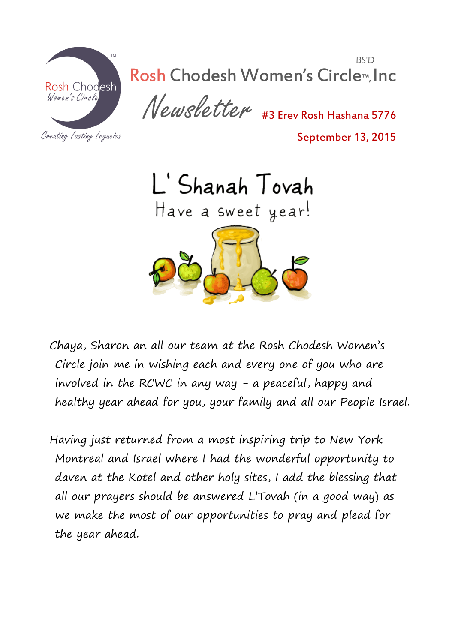

BS'D Rosh Chodesh Women's Circle™, Inc

Newsletter #3 Erev Rosh Hashana 5776

Creating Lasting Legacies

September 13, 2015



Chaya, Sharon an all our team at the Rosh Chodesh Women's Circle join me in wishing each and every one of you who are involved in the RCWC in any way - a peaceful, happy and healthy year ahead for you, your family and all our People Israel.

Having just returned from a most inspiring trip to New York Montreal and Israel where I had the wonderful opportunity to daven at the Kotel and other holy sites, I add the blessing that all our prayers should be answered L'Tovah (in a good way) as we make the most of our opportunities to pray and plead for the year ahead.